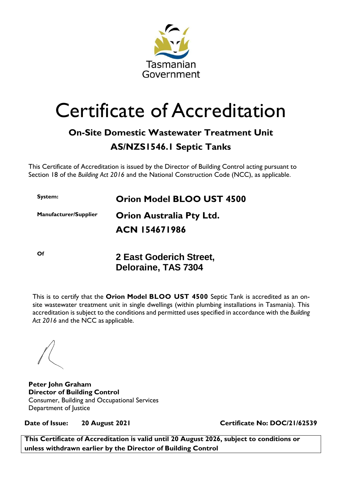

## Certificate of Accreditation

## **On-Site Domestic Wastewater Treatment Unit**

## **AS/NZS1546.1 Septic Tanks**

This Certificate of Accreditation is issued by the Director of Building Control acting pursuant to Section 18 of the *Building Act 2016* and the National Construction Code (NCC), as applicable.

**System: Orion Model BLOO UST 4500**

**Manufacturer/Supplier Orion Australia Pty Ltd. ACN 154671986**

**Of 2 East Goderich Street, Deloraine, TAS 7304**

This is to certify that the **Orion Model BLOO UST 4500** Septic Tank is accredited as an onsite wastewater treatment unit in single dwellings (within plumbing installations in Tasmania). This accreditation is subject to the conditions and permitted uses specified in accordance with the *Building Act 2016* and the NCC as applicable.

**Peter John Graham Director of Building Control** Consumer, Building and Occupational Services Department of Justice

**Date of Issue: 20 August 2021 Certificate No: DOC/21/62539**

**This Certificate of Accreditation is valid until 20 August 2026, subject to conditions or unless withdrawn earlier by the Director of Building Control**